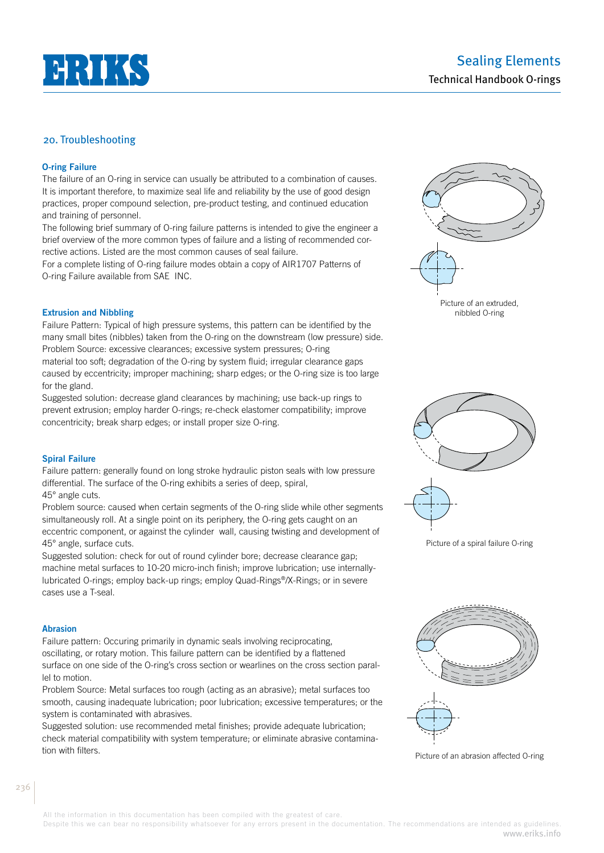

# Sealing Elements Technical Handbook O-rings

# 20. Troubleshooting

## **O-ring Failure**

The failure of an O-ring in service can usually be attributed to a combination of causes. It is important therefore, to maximize seal life and reliability by the use of good design practices, proper compound selection, pre-product testing, and continued education and training of personnel.

The following brief summary of O-ring failure patterns is intended to give the engineer a brief overview of the more common types of failure and a listing of recommended corrective actions. Listed are the most common causes of seal failure.

For a complete listing of O-ring failure modes obtain a copy of AIR1707 Patterns of O-ring Failure available from SAE INC.



Failure Pattern: Typical of high pressure systems, this pattern can be identified by the many small bites (nibbles) taken from the O-ring on the downstream (low pressure) side. Problem Source: excessive clearances; excessive system pressures; O-ring material too soft; degradation of the O-ring by system fluid; irregular clearance gaps caused by eccentricity; improper machining; sharp edges; or the O-ring size is too large for the gland.

Suggested solution: decrease gland clearances by machining; use back-up rings to prevent extrusion; employ harder O-rings; re-check elastomer compatibility; improve concentricity; break sharp edges; or install proper size O-ring.

## **Spiral Failure**

Failure pattern: generally found on long stroke hydraulic piston seals with low pressure differential. The surface of the O-ring exhibits a series of deep, spiral, 45° angle cuts.

Problem source: caused when certain segments of the O-ring slide while other segments simultaneously roll. At a single point on its periphery, the O-ring gets caught on an eccentric component, or against the cylinder wall, causing twisting and development of 45° angle, surface cuts.

Suggested solution: check for out of round cylinder bore; decrease clearance gap; machine metal surfaces to 10-20 micro-inch finish; improve lubrication; use internallylubricated O-rings; employ back-up rings; employ Quad-Rings®/X-Rings; or in severe cases use a T-seal.

#### **Abrasion**

Failure pattern: Occuring primarily in dynamic seals involving reciprocating, oscillating, or rotary motion. This failure pattern can be identified by a flattened surface on one side of the O-ring's cross section or wearlines on the cross section parallel to motion.

Problem Source: Metal surfaces too rough (acting as an abrasive); metal surfaces too smooth, causing inadequate lubrication; poor lubrication; excessive temperatures; or the system is contaminated with abrasives.

Suggested solution: use recommended metal finishes; provide adequate lubrication; check material compatibility with system temperature; or eliminate abrasive contamination with filters.



Picture of an extruded, nibbled O-ring



Picture of a spiral failure O-ring



All the information in this documentation has been compiled with the greatest of care.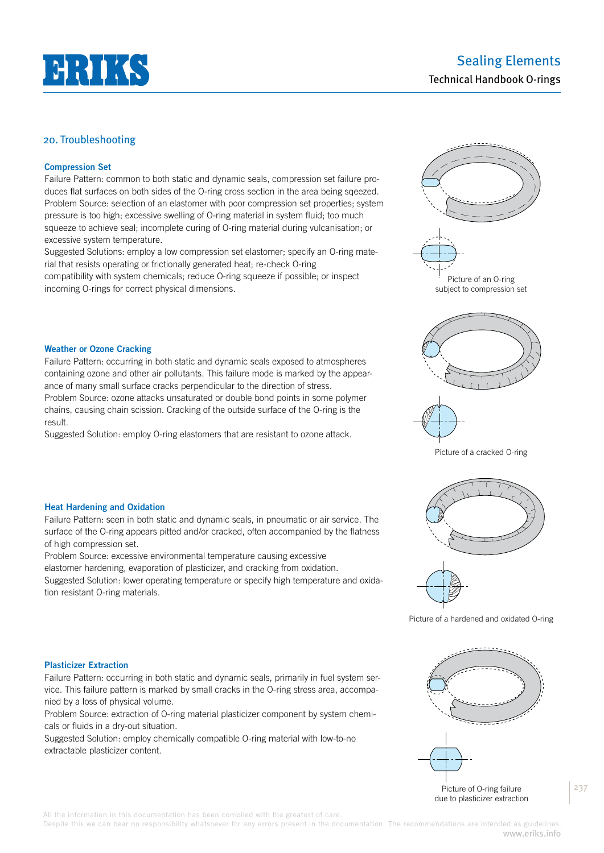

# 20. Troubleshooting

## **Compression Set**

Failure Pattern: common to both static and dynamic seals, compression set failure produces flat surfaces on both sides of the O-ring cross section in the area being sqeezed. Problem Source: selection of an elastomer with poor compression set properties; system pressure is too high; excessive swelling of O-ring material in system fluid; too much squeeze to achieve seal; incomplete curing of O-ring material during vulcanisation; or excessive system temperature.

Suggested Solutions: employ a low compression set elastomer; specify an O-ring material that resists operating or frictionally generated heat; re-check O-ring compatibility with system chemicals; reduce O-ring squeeze if possible; or inspect incoming O-rings for correct physical dimensions.

Failure Pattern: occurring in both static and dynamic seals exposed to atmospheres containing ozone and other air pollutants. This failure mode is marked by the appear-

Problem Source: ozone attacks unsaturated or double bond points in some polymer chains, causing chain scission. Cracking of the outside surface of the O-ring is the

Suggested Solution: employ O-ring elastomers that are resistant to ozone attack.

ance of many small surface cracks perpendicular to the direction of stress.





Picture of a cracked O-ring

### **Heat Hardening and Oxidation**

**Weather or Ozone Cracking**

result.

Failure Pattern: seen in both static and dynamic seals, in pneumatic or air service. The surface of the O-ring appears pitted and/or cracked, often accompanied by the flatness of high compression set.

Problem Source: excessive environmental temperature causing excessive

elastomer hardening, evaporation of plasticizer, and cracking from oxidation.

Suggested Solution: lower operating temperature or specify high temperature and oxidation resistant O-ring materials.



Picture of a hardened and oxidated O-ring

#### **Plasticizer Extraction**

Failure Pattern: occurring in both static and dynamic seals, primarily in fuel system service. This failure pattern is marked by small cracks in the O-ring stress area, accompanied by a loss of physical volume.

Problem Source: extraction of O-ring material plasticizer component by system chemicals or fluids in a dry-out situation.

Suggested Solution: employ chemically compatible O-ring material with low-to-no extractable plasticizer content.



All the information in this documentation has been compiled with the greatest of care.